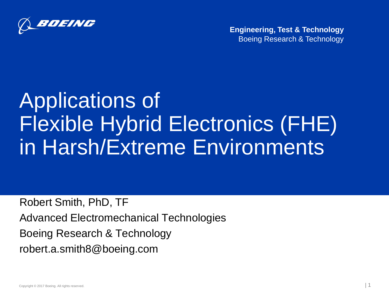

**Engineering, Test & Technology** Boeing Research & Technology

# Applications of Flexible Hybrid Electronics (FHE) in Harsh/Extreme Environments

Robert Smith, PhD, TF Advanced Electromechanical Technologies Boeing Research & Technology robert.a.smith8@boeing.com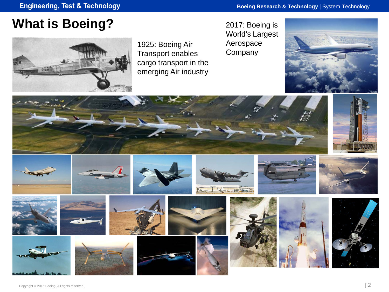#### **What is Boeing?**



1925: Boeing Air Transport enables cargo transport in the emerging Air industry

2017: Boeing is World's Largest Aerospace **Company** 



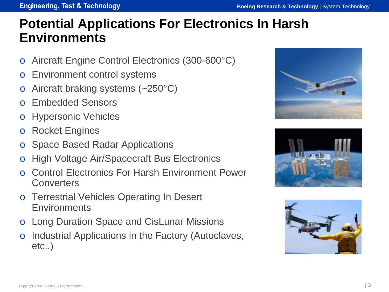#### **Engineering, Test & Technology**

#### **Potential Applications For Electronics In Harsh Environments**

- o Aircraft Engine Control Electronics (300-600°C)
- o Environment control systems
- Aircraft braking systems  $(-250^{\circ}C)$
- Embedded Sensors
- o Hypersonic Vehicles
- o Rocket Engines
- **Space Based Radar Applications**
- High Voltage Air/Spacecraft Bus Electronics
- Control Electronics For Harsh Environment Power **Converters**
- o Terrestrial Vehicles Operating In Desert Environments
- o Long Duration Space and CisLunar Missions
- o Industrial Applications in the Factory (Autoclaves, etc..)





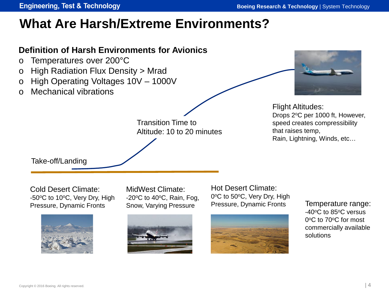Copyright © 2016 Boeing. All rights reserved.

#### **Engineering, Test & Technology**

#### **What Are Harsh/Extreme Environments?**

#### **Definition of Harsh Environments for Avionics**

- o Temperatures over 200°C
- o High Radiation Flux Density > Mrad
- o High Operating Voltages 10V 1000V
- o Mechanical vibrations

Transition Time to Altitude: 10 to 20 minutes Flight Altitudes: Drops 2°C per 1000 ft, However, speed creates compressibility that raises temp, Rain, Lightning, Winds, etc…

Take-off/Landing

Cold Desert Climate: -50°C to 10°C, Very Dry, High Pressure, Dynamic Fronts

MidWest Climate:  $-20$ <sup>o</sup>C to 40 $\degree$ C, Rain, Fog, Snow, Varying Pressure





Temperature range: -40<sup>o</sup>C to 85<sup>o</sup>C versus 0<sup>o</sup>C to 70<sup>o</sup>C for most commercially available solutions



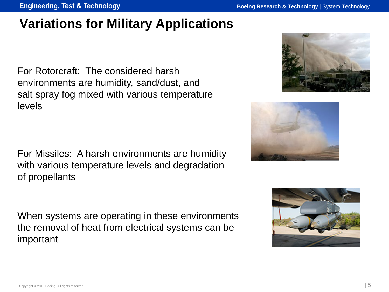**Engineering, Test & Technology** 

#### **Variations for Military Applications**

For Rotorcraft: The considered harsh environments are humidity, sand/dust, and salt spray fog mixed with various temperature levels

For Missiles: A harsh environments are humidity with various temperature levels and degradation of propellants

When systems are operating in these environments the removal of heat from electrical systems can be important





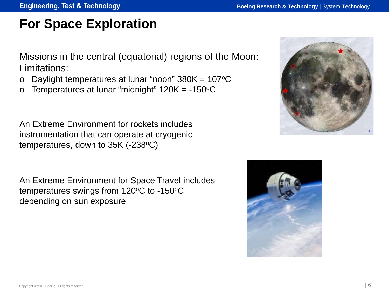## **For Space Exploration**

Missions in the central (equatorial) regions of the Moon: Limitations:

- o Daylight temperatures at lunar "noon"  $380K = 107^{\circ}C$
- o Temperatures at lunar "midnight"  $120K = -150^{\circ}C$

An Extreme Environment for rockets includes instrumentation that can operate at cryogenic temperatures, down to  $35K$  (-238 $^{\circ}$ C)

An Extreme Environment for Space Travel includes temperatures swings from  $120^{\circ}$ C to -150 $^{\circ}$ C depending on sun exposure



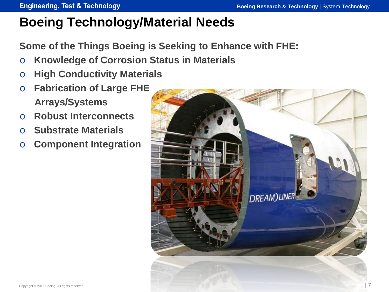# **Boeing Technology/Material Needs**

**Some of the Things Boeing is Seeking to Enhance with FHE:** 

- o **Knowledge of Corrosion Status in Materials**
- o **High Conductivity Materials**
- o **Fabrication of Large FHE Arrays/Systems**
- o **Robust Interconnects**
- o **Substrate Materials**
- o **Component Integration**